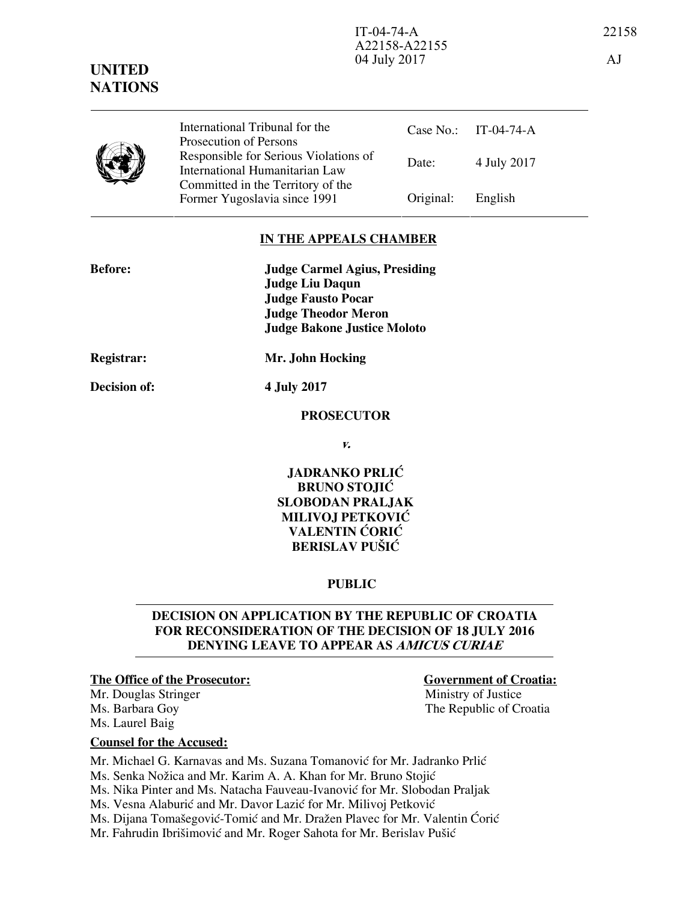Case No.: IT-04-74-A

Date: 4 July 2017

## **IN THE APPEALS CHAMBER**

Former Yugoslavia since 1991 Original: English

| <b>Before:</b>    | <b>Judge Carmel Agius, Presiding</b> |
|-------------------|--------------------------------------|
|                   | <b>Judge Liu Daqun</b>               |
|                   | <b>Judge Fausto Pocar</b>            |
|                   | <b>Judge Theodor Meron</b>           |
|                   | <b>Judge Bakone Justice Moloto</b>   |
| <b>Registrar:</b> | Mr. John Hocking                     |
|                   |                                      |

International Tribunal for the Prosecution of Persons

Responsible for Serious Violations of International Humanitarian Law Committed in the Territory of the

**Decision of: 4 July 2017** 

### **PROSECUTOR**

**v.** 

**JADRANKO PRLIĆ BRUNO STOJIĆ SLOBODAN PRALJAK MILIVOJ PETKOVIĆ VALENTIN ĆORIĆ BERISLAV PUŠIĆ** 

## **PUBLIC**

## **DECISION ON APPLICATION BY THE REPUBLIC OF CROATIA FOR RECONSIDERATION OF THE DECISION OF 18 JULY 2016 DENYING LEAVE TO APPEAR AS AMICUS CURIAE**

Mr. Douglas Stringer and a stringer Ministry of Justice Ms. Laurel Baig

## **The Office of the Prosecutor:** Government of Croatia:

Ms. Barbara Goy The Republic of Croatia

## **Counsel for the Accused:**

Mr. Michael G. Karnavas and Ms. Suzana Tomanović for Mr. Jadranko Prlić

Ms. Senka Nožica and Mr. Karim A. A. Khan for Mr. Bruno Stojić

Ms. Nika Pinter and Ms. Natacha Fauveau-Ivanović for Mr. Slobodan Praljak

Ms. Vesna Alaburić and Mr. Davor Lazić for Mr. Milivoj Petković

Ms. Dijana Tomašegović-Tomić and Mr. Dražen Plavec for Mr. Valentin Ćorić

Mr. Fahrudin Ibrišimović and Mr. Roger Sahota for Mr. Berislav Pušić



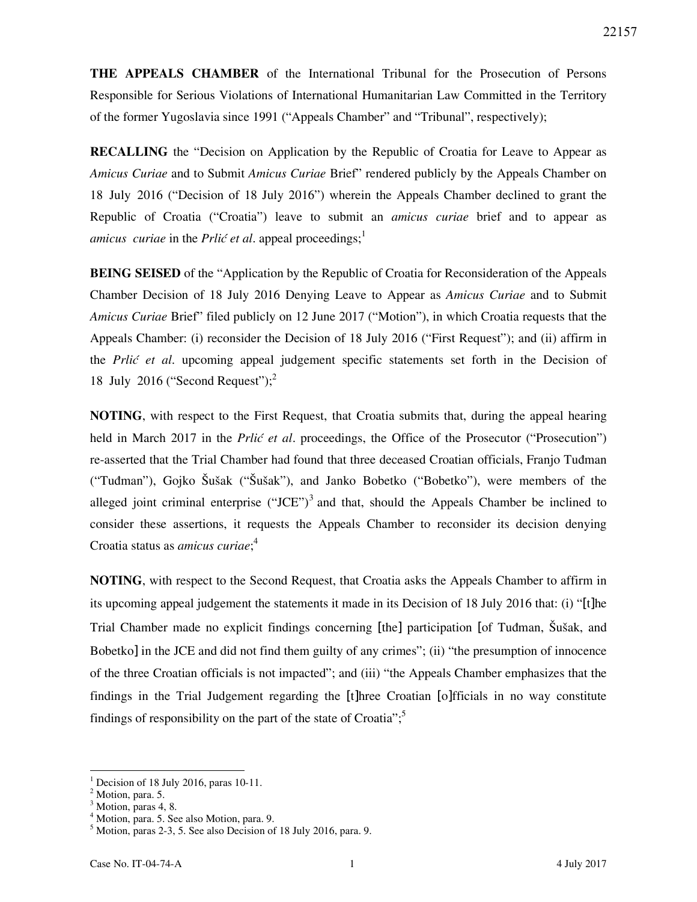**THE APPEALS CHAMBER** of the International Tribunal for the Prosecution of Persons Responsible for Serious Violations of International Humanitarian Law Committed in the Territory of the former Yugoslavia since 1991 ("Appeals Chamber" and "Tribunal", respectively);

**RECALLING** the "Decision on Application by the Republic of Croatia for Leave to Appear as *Amicus Curiae* and to Submit *Amicus Curiae* Brief" rendered publicly by the Appeals Chamber on 18 July 2016 ("Decision of 18 July 2016") wherein the Appeals Chamber declined to grant the Republic of Croatia ("Croatia") leave to submit an *amicus curiae* brief and to appear as *amicus curiae* in the *Prlić et al*. appeal proceedings;<sup>1</sup>

**BEING SEISED** of the "Application by the Republic of Croatia for Reconsideration of the Appeals Chamber Decision of 18 July 2016 Denying Leave to Appear as *Amicus Curiae* and to Submit *Amicus Curiae* Brief" filed publicly on 12 June 2017 ("Motion"), in which Croatia requests that the Appeals Chamber: (i) reconsider the Decision of 18 July 2016 ("First Request"); and (ii) affirm in the *Prlić et al.* upcoming appeal judgement specific statements set forth in the Decision of 18 July 2016 ("Second Request"); $^2$ 

**NOTING**, with respect to the First Request, that Croatia submits that, during the appeal hearing held in March 2017 in the *Prlić et al.* proceedings, the Office of the Prosecutor ("Prosecution") re-asserted that the Trial Chamber had found that three deceased Croatian officials, Franjo Tuđman ("Tuđman"), Gojko Šušak ("Šušak"), and Janko Bobetko ("Bobetko"), were members of the alleged joint criminal enterprise  $("JCE")^3$  and that, should the Appeals Chamber be inclined to consider these assertions, it requests the Appeals Chamber to reconsider its decision denying Croatia status as *amicus curiae*; 4

**NOTING**, with respect to the Second Request, that Croatia asks the Appeals Chamber to affirm in its upcoming appeal judgement the statements it made in its Decision of 18 July 2016 that: (i) "[t]he Trial Chamber made no explicit findings concerning [the] participation [of Tuđman, Šušak, and Bobetko] in the JCE and did not find them guilty of any crimes"; (ii) "the presumption of innocence of the three Croatian officials is not impacted"; and (iii) "the Appeals Chamber emphasizes that the findings in the Trial Judgement regarding the [t]hree Croatian [o]fficials in no way constitute findings of responsibility on the part of the state of Croatia";<sup>5</sup>

-

<sup>1</sup> Decision of 18 July 2016, paras 10-11.

 $^2$  Motion, para. 5.

Motion, paras 4, 8.

<sup>4</sup> Motion, para. 5. See also Motion, para. 9.

<sup>5</sup> Motion, paras 2-3, 5. See also Decision of 18 July 2016, para. 9.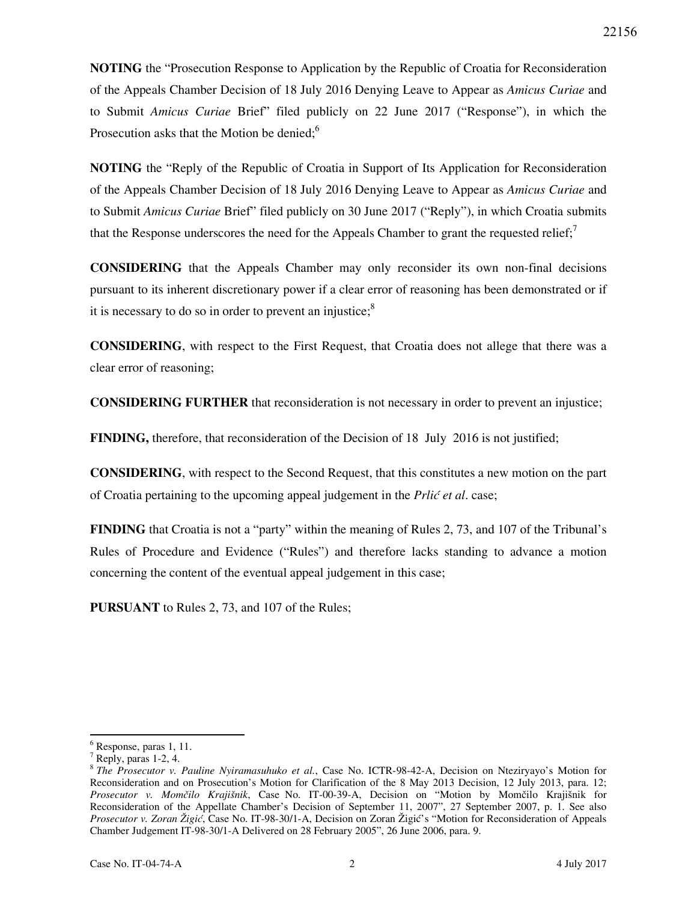**NOTING** the "Prosecution Response to Application by the Republic of Croatia for Reconsideration of the Appeals Chamber Decision of 18 July 2016 Denying Leave to Appear as *Amicus Curiae* and to Submit *Amicus Curiae* Brief" filed publicly on 22 June 2017 ("Response"), in which the Prosecution asks that the Motion be denied:<sup>6</sup>

**NOTING** the "Reply of the Republic of Croatia in Support of Its Application for Reconsideration of the Appeals Chamber Decision of 18 July 2016 Denying Leave to Appear as *Amicus Curiae* and to Submit *Amicus Curiae* Brief" filed publicly on 30 June 2017 ("Reply"), in which Croatia submits that the Response underscores the need for the Appeals Chamber to grant the requested relief;<sup>7</sup>

**CONSIDERING** that the Appeals Chamber may only reconsider its own non-final decisions pursuant to its inherent discretionary power if a clear error of reasoning has been demonstrated or if it is necessary to do so in order to prevent an injustice; $8$ 

**CONSIDERING**, with respect to the First Request, that Croatia does not allege that there was a clear error of reasoning;

**CONSIDERING FURTHER** that reconsideration is not necessary in order to prevent an injustice;

**FINDING,** therefore, that reconsideration of the Decision of 18 July 2016 is not justified;

**CONSIDERING**, with respect to the Second Request, that this constitutes a new motion on the part of Croatia pertaining to the upcoming appeal judgement in the *Prlić et al.* case;

**FINDING** that Croatia is not a "party" within the meaning of Rules 2, 73, and 107 of the Tribunal's Rules of Procedure and Evidence ("Rules") and therefore lacks standing to advance a motion concerning the content of the eventual appeal judgement in this case;

**PURSUANT** to Rules 2, 73, and 107 of the Rules;

-

<sup>6</sup> Response, paras 1, 11.

 $^7$  Reply, paras 1-2, 4.

<sup>8</sup> *The Prosecutor v. Pauline Nyiramasuhuko et al.*, Case No. ICTR-98-42-A, Decision on Nteziryayo's Motion for Reconsideration and on Prosecution's Motion for Clarification of the 8 May 2013 Decision, 12 July 2013, para. 12; Prosecutor v. Momčilo Krajišnik, Case No. IT-00-39-A, Decision on "Motion by Momčilo Krajišnik for Reconsideration of the Appellate Chamber's Decision of September 11, 2007", 27 September 2007, p. 1. See also *Prosecutor v. Zoran Žigić*, Case No. IT-98-30/1-A, Decision on Zoran Žigić's "Motion for Reconsideration of Appeals Chamber Judgement IT-98-30/1-A Delivered on 28 February 2005", 26 June 2006, para. 9.